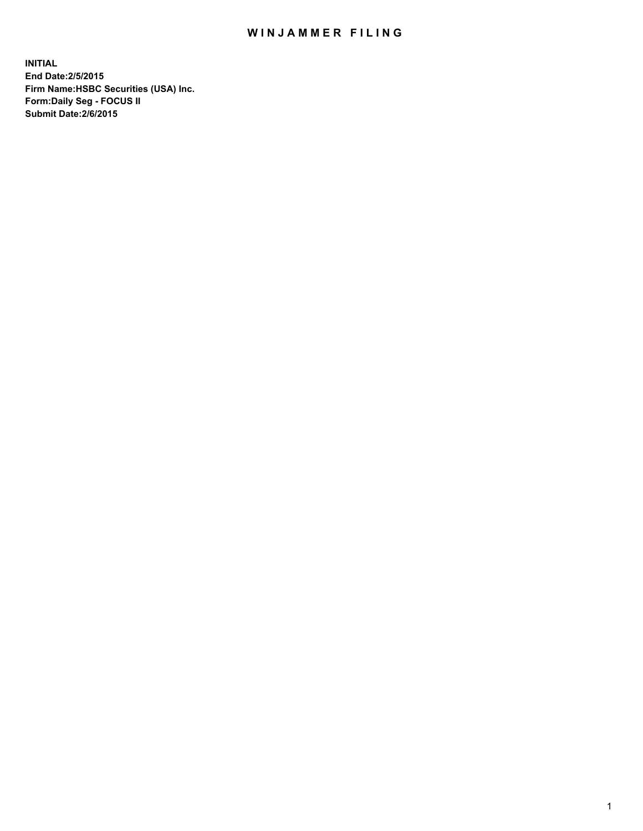## WIN JAMMER FILING

**INITIAL End Date:2/5/2015 Firm Name:HSBC Securities (USA) Inc. Form:Daily Seg - FOCUS II Submit Date:2/6/2015**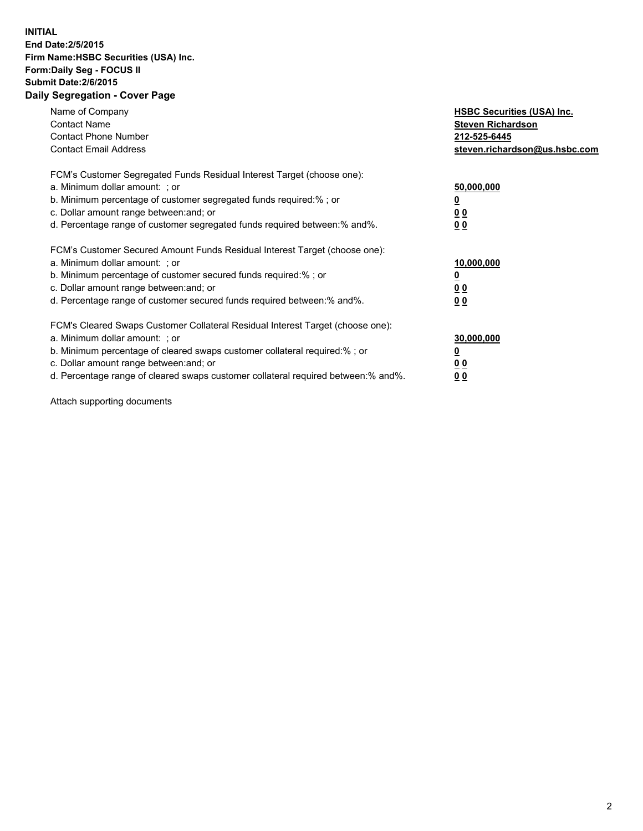## **INITIAL End Date:2/5/2015 Firm Name:HSBC Securities (USA) Inc. Form:Daily Seg - FOCUS II Submit Date:2/6/2015 Daily Segregation - Cover Page**

| Name of Company<br><b>Contact Name</b><br><b>Contact Phone Number</b><br><b>Contact Email Address</b>                                                                                                                                                                                                                         | <b>HSBC Securities (USA) Inc.</b><br><b>Steven Richardson</b><br>212-525-6445<br>steven.richardson@us.hsbc.com |
|-------------------------------------------------------------------------------------------------------------------------------------------------------------------------------------------------------------------------------------------------------------------------------------------------------------------------------|----------------------------------------------------------------------------------------------------------------|
| FCM's Customer Segregated Funds Residual Interest Target (choose one):<br>a. Minimum dollar amount: ; or<br>b. Minimum percentage of customer segregated funds required:% ; or<br>c. Dollar amount range between: and; or<br>d. Percentage range of customer segregated funds required between: % and %.                      | 50,000,000<br>00<br>0 <sub>0</sub>                                                                             |
| FCM's Customer Secured Amount Funds Residual Interest Target (choose one):<br>a. Minimum dollar amount: ; or<br>b. Minimum percentage of customer secured funds required:%; or<br>c. Dollar amount range between: and; or<br>d. Percentage range of customer secured funds required between:% and%.                           | 10,000,000<br>0 <sub>0</sub><br>0 <sub>0</sub>                                                                 |
| FCM's Cleared Swaps Customer Collateral Residual Interest Target (choose one):<br>a. Minimum dollar amount: ; or<br>b. Minimum percentage of cleared swaps customer collateral required:%; or<br>c. Dollar amount range between: and; or<br>d. Percentage range of cleared swaps customer collateral required between:% and%. | 30,000,000<br>0 <sub>0</sub><br>00                                                                             |

Attach supporting documents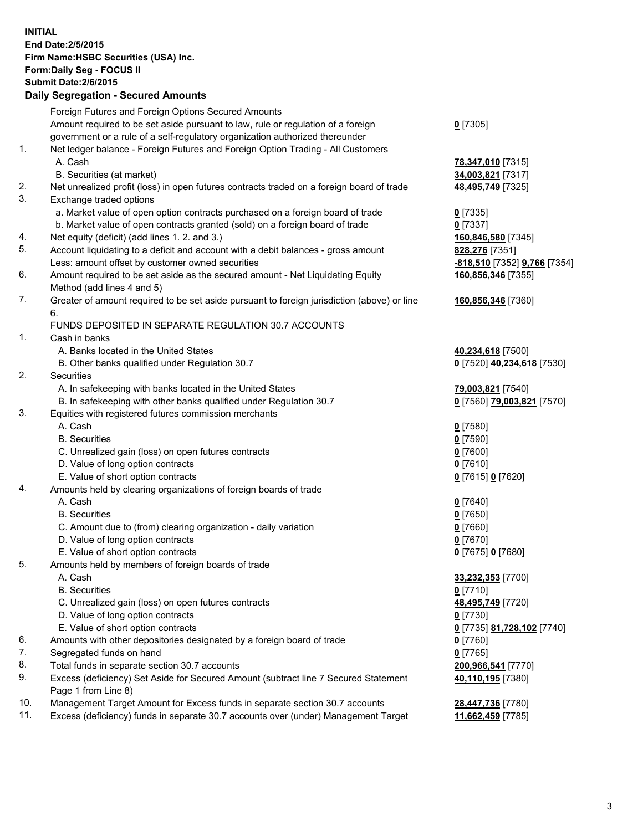**INITIAL End Date:2/5/2015 Firm Name:HSBC Securities (USA) Inc. Form:Daily Seg - FOCUS II Submit Date:2/6/2015 Daily Segregation - Secured Amounts** Foreign Futures and Foreign Options Secured Amounts Amount required to be set aside pursuant to law, rule or regulation of a foreign government or a rule of a self-regulatory organization authorized thereunder **0** [7305] 1. Net ledger balance - Foreign Futures and Foreign Option Trading - All Customers A. Cash **78,347,010** [7315] B. Securities (at market) **34,003,821** [7317] 2. Net unrealized profit (loss) in open futures contracts traded on a foreign board of trade **48,495,749** [7325] 3. Exchange traded options a. Market value of open option contracts purchased on a foreign board of trade **0** [7335] b. Market value of open contracts granted (sold) on a foreign board of trade **0** [7337] 4. Net equity (deficit) (add lines 1. 2. and 3.) **160,846,580** [7345] 5. Account liquidating to a deficit and account with a debit balances - gross amount **828,276** [7351] Less: amount offset by customer owned securities **-818,510** [7352] **9,766** [7354] 6. Amount required to be set aside as the secured amount - Net Liquidating Equity Method (add lines 4 and 5) **160,856,346** [7355] 7. Greater of amount required to be set aside pursuant to foreign jurisdiction (above) or line 6. **160,856,346** [7360] FUNDS DEPOSITED IN SEPARATE REGULATION 30.7 ACCOUNTS 1. Cash in banks A. Banks located in the United States **40,234,618** [7500] B. Other banks qualified under Regulation 30.7 **0** [7520] **40,234,618** [7530] 2. Securities A. In safekeeping with banks located in the United States **79,003,821** [7540] B. In safekeeping with other banks qualified under Regulation 30.7 **0** [7560] **79,003,821** [7570] 3. Equities with registered futures commission merchants A. Cash **0** [7580] B. Securities **0** [7590] C. Unrealized gain (loss) on open futures contracts **0** [7600] D. Value of long option contracts **0** [7610] E. Value of short option contracts **0** [7615] **0** [7620] 4. Amounts held by clearing organizations of foreign boards of trade A. Cash **0** [7640] B. Securities **0** [7650] C. Amount due to (from) clearing organization - daily variation **0** [7660] D. Value of long option contracts **0** [7670] E. Value of short option contracts **0** [7675] **0** [7680] 5. Amounts held by members of foreign boards of trade A. Cash **33,232,353** [7700] B. Securities **0** [7710] C. Unrealized gain (loss) on open futures contracts **48,495,749** [7720] D. Value of long option contracts **0** [7730] E. Value of short option contracts **0** [7735] **81,728,102** [7740] 6. Amounts with other depositories designated by a foreign board of trade **0** [7760] 7. Segregated funds on hand **0** [7765] 8. Total funds in separate section 30.7 accounts **200,966,541** [7770] 9. Excess (deficiency) Set Aside for Secured Amount (subtract line 7 Secured Statement Page 1 from Line 8) **40,110,195** [7380]

10. Management Target Amount for Excess funds in separate section 30.7 accounts **28,447,736** [7780]

11. Excess (deficiency) funds in separate 30.7 accounts over (under) Management Target **11,662,459** [7785]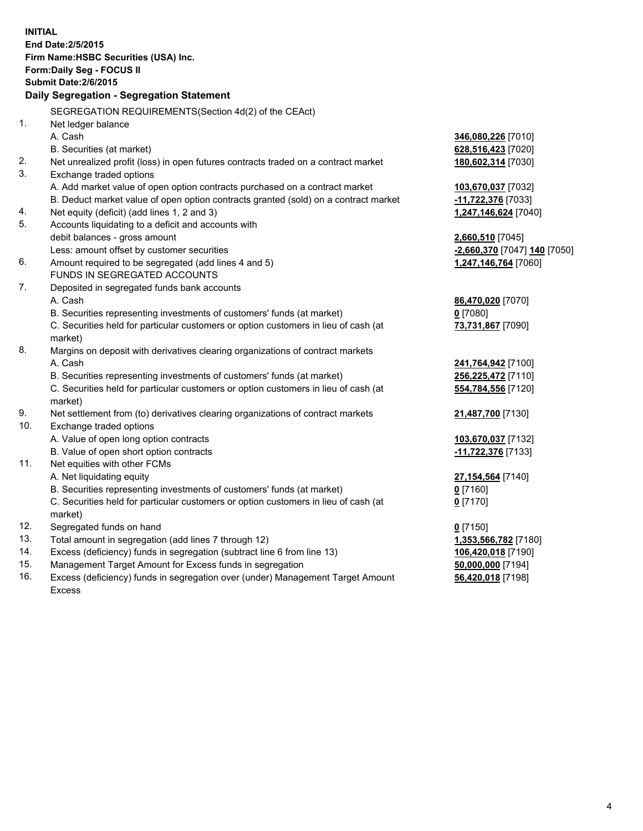| <b>INITIAL</b> | End Date: 2/5/2015<br>Firm Name: HSBC Securities (USA) Inc.<br>Form: Daily Seg - FOCUS II<br><b>Submit Date: 2/6/2015</b><br>Daily Segregation - Segregation Statement |                              |
|----------------|------------------------------------------------------------------------------------------------------------------------------------------------------------------------|------------------------------|
|                | SEGREGATION REQUIREMENTS(Section 4d(2) of the CEAct)                                                                                                                   |                              |
| 1.             | Net ledger balance                                                                                                                                                     |                              |
|                | A. Cash                                                                                                                                                                | 346,080,226 [7010]           |
|                | B. Securities (at market)                                                                                                                                              | 628,516,423 [7020]           |
| 2.             | Net unrealized profit (loss) in open futures contracts traded on a contract market                                                                                     | 180,602,314 [7030]           |
| 3.             | Exchange traded options                                                                                                                                                |                              |
|                | A. Add market value of open option contracts purchased on a contract market                                                                                            | 103,670,037 [7032]           |
|                | B. Deduct market value of open option contracts granted (sold) on a contract market                                                                                    | 11,722,376 [7033]            |
| 4.             | Net equity (deficit) (add lines 1, 2 and 3)                                                                                                                            | 1,247,146,624 [7040]         |
| 5.             | Accounts liquidating to a deficit and accounts with                                                                                                                    |                              |
|                | debit balances - gross amount                                                                                                                                          | 2,660,510 [7045]             |
|                | Less: amount offset by customer securities                                                                                                                             | -2,660,370 [7047] 140 [7050] |
| 6.             | Amount required to be segregated (add lines 4 and 5)                                                                                                                   | 1,247,146,764 [7060]         |
|                | FUNDS IN SEGREGATED ACCOUNTS                                                                                                                                           |                              |
| 7.             | Deposited in segregated funds bank accounts                                                                                                                            |                              |
|                | A. Cash                                                                                                                                                                | 86,470,020 [7070]            |
|                | B. Securities representing investments of customers' funds (at market)                                                                                                 | $0$ [7080]                   |
|                | C. Securities held for particular customers or option customers in lieu of cash (at                                                                                    | 73,731,867 [7090]            |
|                | market)                                                                                                                                                                |                              |
| 8.             | Margins on deposit with derivatives clearing organizations of contract markets                                                                                         |                              |
|                | A. Cash                                                                                                                                                                | 241,764,942 [7100]           |
|                | B. Securities representing investments of customers' funds (at market)                                                                                                 | 256,225,472 [7110]           |
|                | C. Securities held for particular customers or option customers in lieu of cash (at<br>market)                                                                         | 554,784,556 [7120]           |
| 9.             | Net settlement from (to) derivatives clearing organizations of contract markets                                                                                        | 21,487,700 [7130]            |
| 10.            | Exchange traded options                                                                                                                                                |                              |
|                | A. Value of open long option contracts                                                                                                                                 | 103,670,037 [7132]           |
|                | B. Value of open short option contracts                                                                                                                                | -11,722,376 [7133]           |
| 11.            | Net equities with other FCMs                                                                                                                                           |                              |
|                | A. Net liquidating equity                                                                                                                                              | 27,154,564 [7140]            |
|                | B. Securities representing investments of customers' funds (at market)                                                                                                 | $0$ [7160]                   |
|                | C. Securities held for particular customers or option customers in lieu of cash (at                                                                                    | $0$ [7170]                   |
|                | market)                                                                                                                                                                |                              |
| 12.            | Segregated funds on hand                                                                                                                                               | $0$ [7150]                   |
| 13.            | Total amount in segregation (add lines 7 through 12)                                                                                                                   | 1,353,566,782 [7180]         |
| 14.            | Excess (deficiency) funds in segregation (subtract line 6 from line 13)                                                                                                | 106,420,018 [7190]           |
| 15.            | Management Target Amount for Excess funds in segregation                                                                                                               | 50,000,000 [7194]            |
| 16.            | Excess (deficiency) funds in segregation over (under) Management Target Amount                                                                                         | 56,420,018 [7198]            |

16. Excess (deficiency) funds in segregation over (under) Management Target Amount Excess